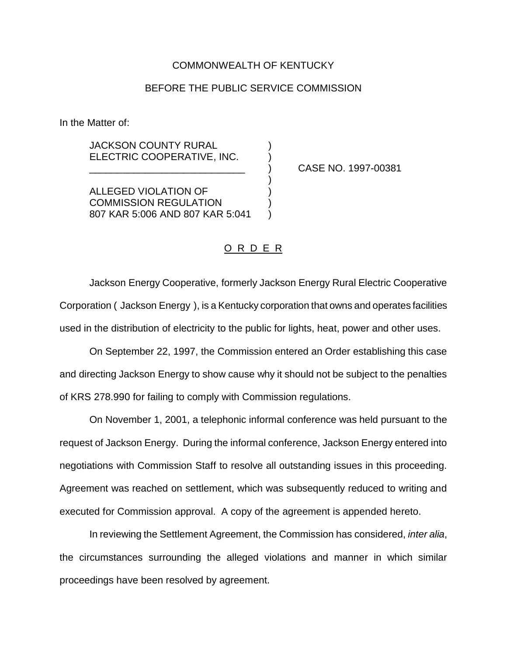### COMMONWEALTH OF KENTUCKY

## BEFORE THE PUBLIC SERVICE COMMISSION

In the Matter of:

**JACKSON COUNTY RURAL** ELECTRIC COOPERATIVE, INC.

\_\_\_\_\_\_\_\_\_\_\_\_\_\_\_\_\_\_\_\_\_\_\_\_\_\_\_\_ ) CASE NO. 1997-00381

ALLEGED VIOLATION OF ) COMMISSION REGULATION ) 807 KAR 5:006 AND 807 KAR 5:041 )

### O R D E R

)

Jackson Energy Cooperative, formerly Jackson Energy Rural Electric Cooperative Corporation ( Jackson Energy ), is a Kentucky corporation that owns and operates facilities used in the distribution of electricity to the public for lights, heat, power and other uses.

On September 22, 1997, the Commission entered an Order establishing this case and directing Jackson Energy to show cause why it should not be subject to the penalties of KRS 278.990 for failing to comply with Commission regulations.

On November 1, 2001, a telephonic informal conference was held pursuant to the request of Jackson Energy. During the informal conference, Jackson Energy entered into negotiations with Commission Staff to resolve all outstanding issues in this proceeding. Agreement was reached on settlement, which was subsequently reduced to writing and executed for Commission approval. A copy of the agreement is appended hereto.

In reviewing the Settlement Agreement, the Commission has considered, *inter alia*, the circumstances surrounding the alleged violations and manner in which similar proceedings have been resolved by agreement.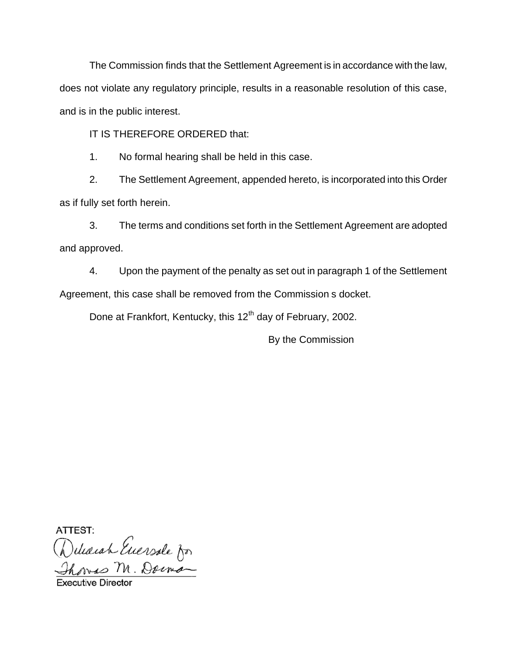The Commission finds that the Settlement Agreement is in accordance with the law, does not violate any regulatory principle, results in a reasonable resolution of this case, and is in the public interest.

IT IS THEREFORE ORDERED that:

1. No formal hearing shall be held in this case.

2. The Settlement Agreement, appended hereto, is incorporated into this Order as if fully set forth herein.

3. The terms and conditions set forth in the Settlement Agreement are adopted and approved.

4. Upon the payment of the penalty as set out in paragraph 1 of the Settlement Agreement, this case shall be removed from the Commission s docket.

Done at Frankfort, Kentucky, this 12<sup>th</sup> day of February, 2002.

By the Commission

ATTEST:

Deleasch Euersde for<br>Thomas M. Darmon

**Executive Directo**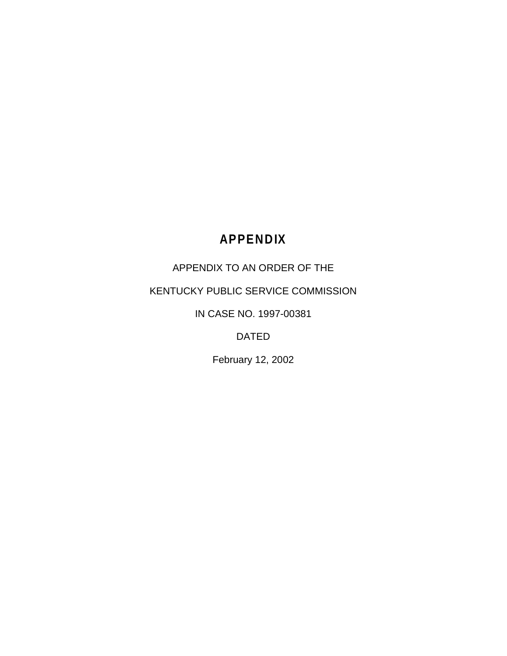# **APPENDIX**

## APPENDIX TO AN ORDER OF THE

## KENTUCKY PUBLIC SERVICE COMMISSION

IN CASE NO. 1997-00381

DATED

February 12, 2002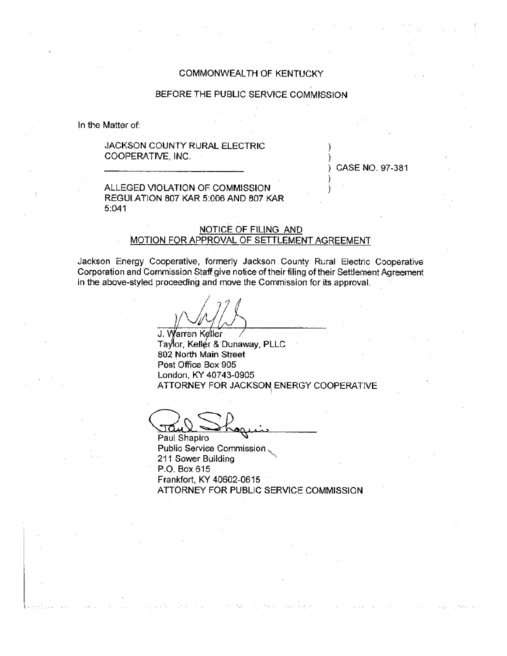### COMMONWEALTH OF KENTUCKY

#### BEFORE THE PUBLIC SERVICE COMMISSION

In the Matter of:

#### JACKSON COUNTY RURAL ELECTRIC COOPERATIVE, INC.

CASE NO. 97-381

#### ALLEGED VIOLATION OF COMMISSION REGULATION 807 KAR 5:006 AND 807 KAR  $5:041$

#### NOTICE OF FILING AND MOTION FOR APPROVAL OF SETTLEMENT AGREEMENT

Jackson Energy Cooperative, formerly Jackson County Rural Electric Cooperative Corporation and Commission Staff give notice of their filing of their Settlement Agreement in the above-styled proceeding and move the Commission for its approval.

J. Warren Keller Taylor, Keller & Dunaway, PLLC 802 North Main Street Post Office Box 905 London, KY 40743-0905 ATTORNEY FOR JACKSON ENERGY COOPERATIVE

Paul Shapiro Public Service Commission. 211 Sower Building P.O. Box 615 Frankfort, KY 40602-0615 ATTORNEY FOR PUBLIC SERVICE COMMISSION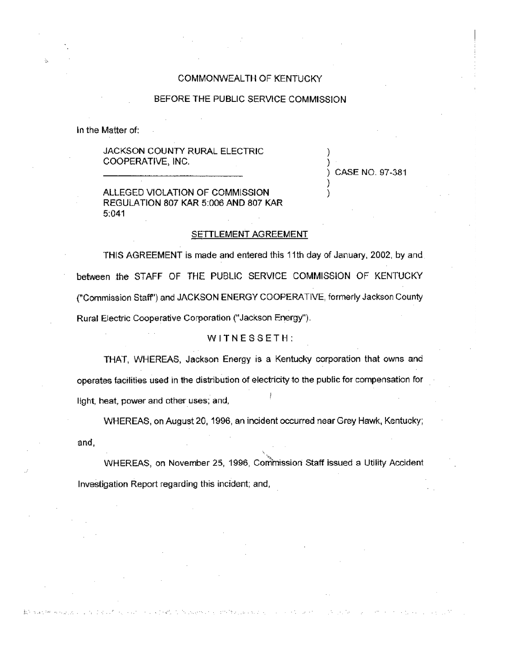#### COMMONWEALTH OF KENTUCKY

#### BEFORE THE PUBLIC SERVICE COMMISSION

In the Matter of:

#### JACKSON COUNTY RURAL ELECTRIC COOPERATIVE, INC.

CASE NO. 97-381

ALLEGED VIOLATION OF COMMISSION REGULATION 807 KAR 5:006 AND 807 KAR 5:041

#### SETTLEMENT AGREEMENT

THIS AGREEMENT is made and entered this 11th day of January, 2002, by and between the STAFF OF THE PUBLIC SERVICE COMMISSION OF KENTUCKY ("Commission Staff") and JACKSON ENERGY COOPERATIVE, formerly Jackson County Rural Electric Cooperative Corporation ("Jackson Energy").

#### WITNESSETH:

THAT, WHEREAS, Jackson Energy is a Kentucky corporation that owns and operates facilities used in the distribution of electricity to the public for compensation for light, heat, power and other uses; and,

WHEREAS, on August 20, 1996, an incident occurred near Grey Hawk, Kentucky; and,

WHEREAS, on November 25, 1996, Commission Staff issued a Utility Accident Investigation Report regarding this incident; and,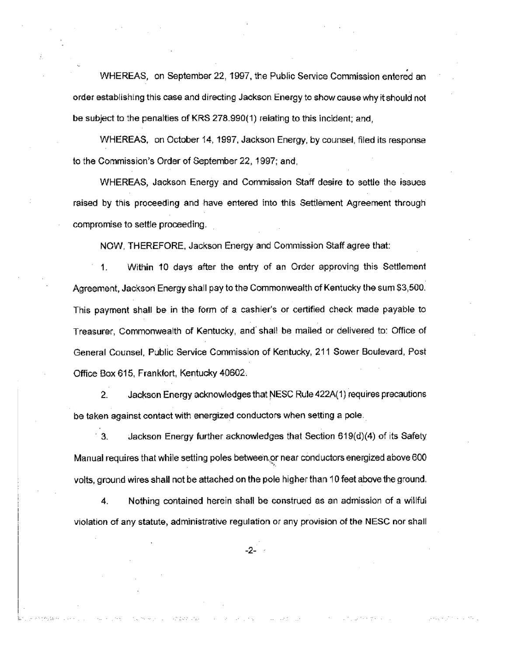WHEREAS, on September 22, 1997, the Public Service Commission entered an order establishing this case and directing Jackson Energy to show cause why it should not be subject to the penalties of KRS 278.990(1) relating to this incident; and,

WHEREAS, on October 14, 1997, Jackson Energy, by counsel, filed its response to the Commission's Order of September 22, 1997; and.

WHEREAS, Jackson Energy and Commission Staff desire to settle the issues raised by this proceeding and have entered into this Settlement Agreement through compromise to settle proceeding.

NOW, THEREFORE, Jackson Energy and Commission Staff agree that:

1. Within 10 days after the entry of an Order approving this Settlement Agreement, Jackson Energy shall pay to the Commonwealth of Kentucky the sum \$3,500. This payment shall be in the form of a cashier's or certified check made payable to Treasurer. Commonwealth of Kentucky, and shall be mailed or delivered to: Office of General Counsel, Public Service Commission of Kentucky, 211 Sower Boulevard, Post Office Box 615, Frankfort, Kentucky 40602.

 $\mathbf{2}$ Jackson Energy acknowledges that NESC Rule 422A(1) requires precautions be taken against contact with energized conductors when setting a pole.

3. Jackson Energy further acknowledges that Section  $619(d)(4)$  of its Safety Manual requires that while setting poles between or near conductors energized above 600 voits, ground wires shall not be attached on the pole higher than 10 feet above the ground.

Nothing contained herein shall be construed as an admission of a willful 4. violation of any statute, administrative regulation or any provision of the NESC nor shall

 $-2-$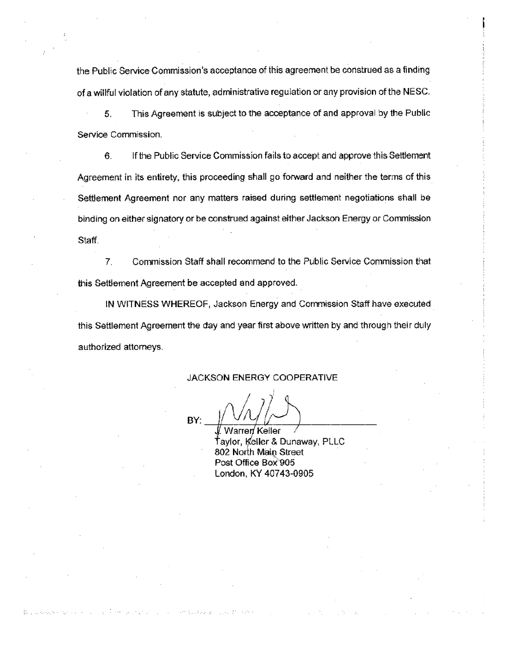the Public Service Commission's acceptance of this agreement be construed as a finding of a willful violation of any statute, administrative regulation or any provision of the NESC.

This Agreement is subject to the acceptance of and approval by the Public 5. Service Commission.

6. If the Public Service Commission fails to accept and approve this Settlement Agreement in its entirety, this proceeding shall go forward and neither the terms of this Settlement Agreement nor any matters raised during settlement negotiations shall be binding on either signatory or be construed against either Jackson Energy or Commission Staff.

 $7<sub>1</sub>$ Commission Staff shall recommend to the Public Service Commission that this Settlement Agreement be accepted and approved.

IN WITNESS WHEREOF, Jackson Energy and Commission Staff have executed this Settlement Agreement the day and year first above written by and through their duly authorized attorneys.

#### JACKSON ENERGY COOPERATIVE

BY:

Warren Keller Ťaylor, Keller & Dunaway, PLLC 802 North Main Street Post Office Box 905 London, KY 40743-0905